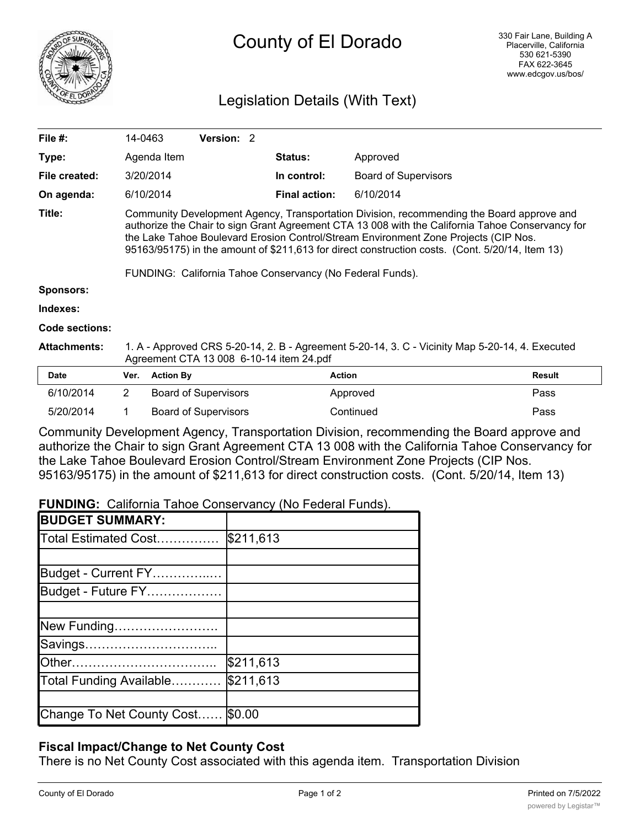

# County of El Dorado

## Legislation Details (With Text)

| File #:             | 14-0463                                                                                                                                                                                                                                                                                                                                                                                 |                  | <b>Version: 2</b>           |  |                      |                             |        |  |
|---------------------|-----------------------------------------------------------------------------------------------------------------------------------------------------------------------------------------------------------------------------------------------------------------------------------------------------------------------------------------------------------------------------------------|------------------|-----------------------------|--|----------------------|-----------------------------|--------|--|
| Type:               |                                                                                                                                                                                                                                                                                                                                                                                         | Agenda Item      |                             |  | <b>Status:</b>       | Approved                    |        |  |
| File created:       |                                                                                                                                                                                                                                                                                                                                                                                         | 3/20/2014        |                             |  | In control:          | <b>Board of Supervisors</b> |        |  |
| On agenda:          |                                                                                                                                                                                                                                                                                                                                                                                         | 6/10/2014        |                             |  | <b>Final action:</b> | 6/10/2014                   |        |  |
| Title:              | Community Development Agency, Transportation Division, recommending the Board approve and<br>authorize the Chair to sign Grant Agreement CTA 13 008 with the California Tahoe Conservancy for<br>the Lake Tahoe Boulevard Erosion Control/Stream Environment Zone Projects (CIP Nos.<br>95163/95175) in the amount of \$211,613 for direct construction costs. (Cont. 5/20/14, Item 13) |                  |                             |  |                      |                             |        |  |
|                     | FUNDING: California Tahoe Conservancy (No Federal Funds).                                                                                                                                                                                                                                                                                                                               |                  |                             |  |                      |                             |        |  |
| <b>Sponsors:</b>    |                                                                                                                                                                                                                                                                                                                                                                                         |                  |                             |  |                      |                             |        |  |
| Indexes:            |                                                                                                                                                                                                                                                                                                                                                                                         |                  |                             |  |                      |                             |        |  |
| Code sections:      |                                                                                                                                                                                                                                                                                                                                                                                         |                  |                             |  |                      |                             |        |  |
| <b>Attachments:</b> | 1. A - Approved CRS 5-20-14, 2. B - Agreement 5-20-14, 3. C - Vicinity Map 5-20-14, 4. Executed<br>Agreement CTA 13 008 6-10-14 item 24.pdf                                                                                                                                                                                                                                             |                  |                             |  |                      |                             |        |  |
| Date                | Ver.                                                                                                                                                                                                                                                                                                                                                                                    | <b>Action By</b> |                             |  | <b>Action</b>        |                             | Result |  |
| 6/10/2014           | 2                                                                                                                                                                                                                                                                                                                                                                                       |                  | <b>Board of Supervisors</b> |  |                      | Approved                    | Pass   |  |

Community Development Agency, Transportation Division, recommending the Board approve and authorize the Chair to sign Grant Agreement CTA 13 008 with the California Tahoe Conservancy for the Lake Tahoe Boulevard Erosion Control/Stream Environment Zone Projects (CIP Nos. 95163/95175) in the amount of \$211,613 for direct construction costs. (Cont. 5/20/14, Item 13)

5/20/2014 1 Board of Supervisors Continued Pass

**FUNDING:** California Tahoe Conservancy (No Federal Funds).

| <b>BUDGET SUMMARY:</b>    |           |
|---------------------------|-----------|
| Total Estimated Cost      | \$211,613 |
|                           |           |
| Budget - Current FY       |           |
| Budget - Future FY        |           |
|                           |           |
| New Funding               |           |
| Savings                   |           |
|                           | \$211,613 |
| Total Funding Available   | \$211,613 |
|                           |           |
| Change To Net County Cost | \$0.00    |

### **Fiscal Impact/Change to Net County Cost**

There is no Net County Cost associated with this agenda item. Transportation Division